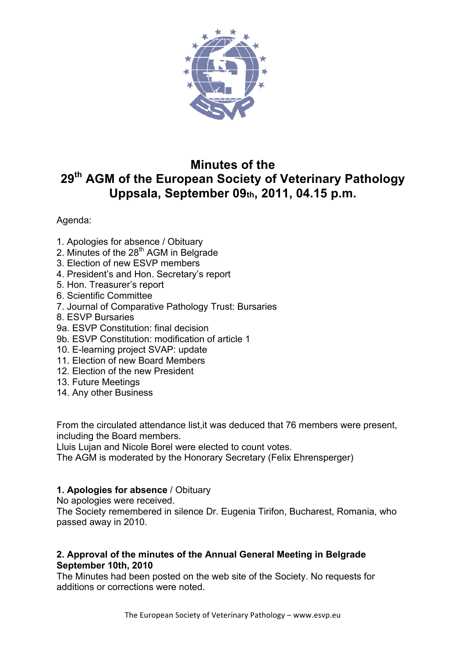

# **Minutes of the 29th AGM of the European Society of Veterinary Pathology Uppsala, September 09th, 2011, 04.15 p.m.**

## Agenda:

- 1. Apologies for absence / Obituary
- 2. Minutes of the 28<sup>th</sup> AGM in Belgrade
- 3. Election of new ESVP members
- 4. President's and Hon. Secretary's report
- 5. Hon. Treasurer's report
- 6. Scientific Committee
- 7. Journal of Comparative Pathology Trust: Bursaries
- 8. ESVP Bursaries
- 9a. ESVP Constitution: final decision
- 9b. ESVP Constitution: modification of article 1
- 10. E-learning project SVAP: update
- 11. Election of new Board Members
- 12. Election of the new President
- 13. Future Meetings
- 14. Any other Business

From the circulated attendance list,it was deduced that 76 members were present, including the Board members.

Lluis Lujan and Nicole Borel were elected to count votes.

The AGM is moderated by the Honorary Secretary (Felix Ehrensperger)

# **1. Apologies for absence** / Obituary

No apologies were received.

The Society remembered in silence Dr. Eugenia Tirifon, Bucharest, Romania, who passed away in 2010.

## **2. Approval of the minutes of the Annual General Meeting in Belgrade September 10th, 2010**

The Minutes had been posted on the web site of the Society. No requests for additions or corrections were noted.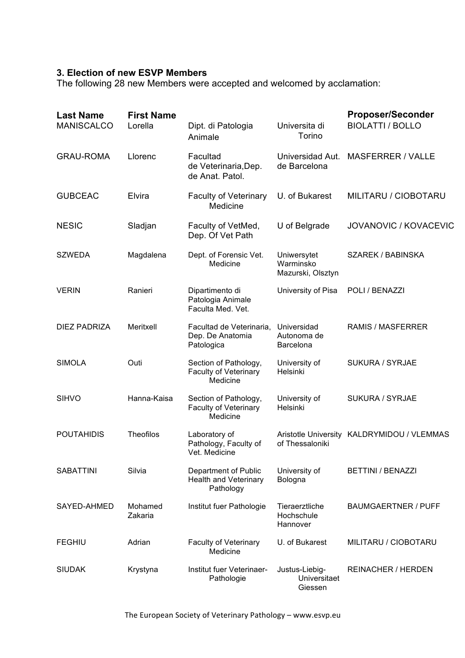## **3. Election of new ESVP Members**

The following 28 new Members were accepted and welcomed by acclamation:

| <b>Last Name</b><br><b>MANISCALCO</b> | <b>First Name</b><br>Lorella | Dipt. di Patologia<br>Animale                                     | Universita di<br>Torino                       | <b>Proposer/Seconder</b><br><b>BIOLATTI / BOLLO</b> |
|---------------------------------------|------------------------------|-------------------------------------------------------------------|-----------------------------------------------|-----------------------------------------------------|
| <b>GRAU-ROMA</b>                      | Llorenc                      | Facultad<br>de Veterinaria, Dep.<br>de Anat. Patol.               | Universidad Aut.<br>de Barcelona              | <b>MASFERRER / VALLE</b>                            |
| <b>GUBCEAC</b>                        | Elvira                       | <b>Faculty of Veterinary</b><br>Medicine                          | U. of Bukarest                                | MILITARU / CIOBOTARU                                |
| <b>NESIC</b>                          | Sladjan                      | Faculty of VetMed,<br>Dep. Of Vet Path                            | U of Belgrade                                 | JOVANOVIC / KOVACEVIC                               |
| <b>SZWEDA</b>                         | Magdalena                    | Dept. of Forensic Vet.<br>Medicine                                | Uniwersytet<br>Warminsko<br>Mazurski, Olsztyn | SZAREK / BABINSKA                                   |
| <b>VERIN</b>                          | Ranieri                      | Dipartimento di<br>Patologia Animale<br>Faculta Med. Vet.         | University of Pisa                            | POLI / BENAZZI                                      |
| <b>DIEZ PADRIZA</b>                   | Meritxell                    | Facultad de Veterinaria,<br>Dep. De Anatomia<br>Patologica        | Universidad<br>Autonoma de<br>Barcelona       | <b>RAMIS / MASFERRER</b>                            |
| <b>SIMOLA</b>                         | Outi                         | Section of Pathology,<br><b>Faculty of Veterinary</b><br>Medicine | University of<br>Helsinki                     | SUKURA / SYRJAE                                     |
| <b>SIHVO</b>                          | Hanna-Kaisa                  | Section of Pathology,<br><b>Faculty of Veterinary</b><br>Medicine | University of<br>Helsinki                     | SUKURA / SYRJAE                                     |
| <b>POUTAHIDIS</b>                     | <b>Theofilos</b>             | Laboratory of<br>Pathology, Faculty of<br>Vet. Medicine           | of Thessaloniki                               | Aristotle University KALDRYMIDOU / VLEMMAS          |
| <b>SABATTINI</b>                      | Silvia                       | Department of Public<br><b>Health and Veterinary</b><br>Pathology | University of<br>Bologna                      | BETTINI / BENAZZI                                   |
| SAYED-AHMED                           | Mohamed<br>Zakaria           | Institut fuer Pathologie                                          | Tieraerztliche<br>Hochschule<br>Hannover      | <b>BAUMGAERTNER / PUFF</b>                          |
| <b>FEGHIU</b>                         | Adrian                       | <b>Faculty of Veterinary</b><br>Medicine                          | U. of Bukarest                                | MILITARU / CIOBOTARU                                |
| <b>SIUDAK</b>                         | Krystyna                     | Institut fuer Veterinaer-<br>Pathologie                           | Justus-Liebig-<br>Universitaet<br>Giessen     | REINACHER / HERDEN                                  |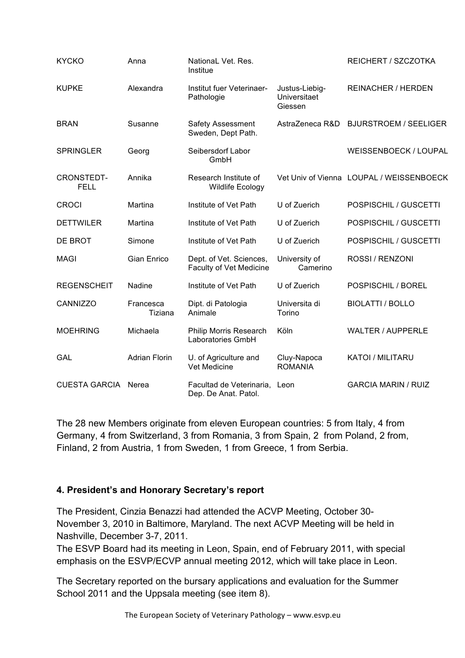| <b>KYCKO</b>                     | Anna                 | NationaL Vet. Res.<br>Institue                            |                                           | REICHERT / SZCZOTKA                      |
|----------------------------------|----------------------|-----------------------------------------------------------|-------------------------------------------|------------------------------------------|
| <b>KUPKE</b>                     | Alexandra            | Institut fuer Veterinaer-<br>Pathologie                   | Justus-Liebig-<br>Universitaet<br>Giessen | <b>REINACHER / HERDEN</b>                |
| <b>BRAN</b>                      | Susanne              | <b>Safety Assessment</b><br>Sweden, Dept Path.            | AstraZeneca R&D                           | <b>BJURSTROEM / SEELIGER</b>             |
| <b>SPRINGLER</b>                 | Georg                | Seibersdorf Labor<br>GmbH                                 |                                           | WEISSENBOECK / LOUPAL                    |
| <b>CRONSTEDT-</b><br><b>FELL</b> | Annika               | Research Institute of<br><b>Wildlife Ecology</b>          |                                           | Vet Univ of Vienna LOUPAL / WEISSENBOECK |
| <b>CROCI</b>                     | Martina              | Institute of Vet Path                                     | U of Zuerich                              | POSPISCHIL / GUSCETTI                    |
| <b>DETTWILER</b>                 | Martina              | Institute of Vet Path                                     | U of Zuerich                              | POSPISCHIL / GUSCETTI                    |
| DE BROT                          | Simone               | Institute of Vet Path                                     | U of Zuerich                              | POSPISCHIL / GUSCETTI                    |
| <b>MAGI</b>                      | Gian Enrico          | Dept. of Vet. Sciences,<br><b>Faculty of Vet Medicine</b> | University of<br>Camerino                 | ROSSI / RENZONI                          |
| <b>REGENSCHEIT</b>               | <b>Nadine</b>        | Institute of Vet Path                                     | U of Zuerich                              | POSPISCHIL / BOREL                       |
| CANNIZZO                         | Francesca<br>Tiziana | Dipt. di Patologia<br>Animale                             | Universita di<br>Torino                   | <b>BIOLATTI / BOLLO</b>                  |
| <b>MOEHRING</b>                  | Michaela             | <b>Philip Morris Research</b><br>Laboratories GmbH        | Köln                                      | <b>WALTER / AUPPERLE</b>                 |
| <b>GAL</b>                       | <b>Adrian Florin</b> | U. of Agriculture and<br>Vet Medicine                     | Cluy-Napoca<br><b>ROMANIA</b>             | <b>KATOI / MILITARU</b>                  |
| <b>CUESTA GARCIA</b>             | Nerea                | Facultad de Veterinaria,<br>Dep. De Anat. Patol.          | Leon                                      | <b>GARCIA MARIN / RUIZ</b>               |

The 28 new Members originate from eleven European countries: 5 from Italy, 4 from Germany, 4 from Switzerland, 3 from Romania, 3 from Spain, 2 from Poland, 2 from, Finland, 2 from Austria, 1 from Sweden, 1 from Greece, 1 from Serbia.

## **4. President's and Honorary Secretary's report**

The President, Cinzia Benazzi had attended the ACVP Meeting, October 30- November 3, 2010 in Baltimore, Maryland. The next ACVP Meeting will be held in Nashville, December 3-7, 2011.

The ESVP Board had its meeting in Leon, Spain, end of February 2011, with special emphasis on the ESVP/ECVP annual meeting 2012, which will take place in Leon.

The Secretary reported on the bursary applications and evaluation for the Summer School 2011 and the Uppsala meeting (see item 8).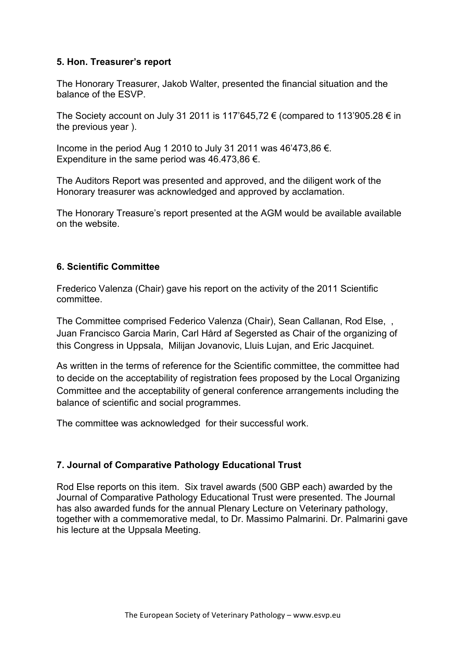#### **5. Hon. Treasurer's report**

The Honorary Treasurer, Jakob Walter, presented the financial situation and the balance of the ESVP.

The Society account on July 31 2011 is 117'645.72  $\epsilon$  (compared to 113'905.28  $\epsilon$  in the previous year ).

Income in the period Aug 1 2010 to July 31 2011 was 46'473,86 €. Expenditure in the same period was 46.473,86  $\epsilon$ .

The Auditors Report was presented and approved, and the diligent work of the Honorary treasurer was acknowledged and approved by acclamation.

The Honorary Treasure's report presented at the AGM would be available available on the website.

#### **6. Scientific Committee**

Frederico Valenza (Chair) gave his report on the activity of the 2011 Scientific committee.

The Committee comprised Federico Valenza (Chair), Sean Callanan, Rod Else, , Juan Francisco Garcia Marin, Carl Hård af Segersted as Chair of the organizing of this Congress in Uppsala, Milijan Jovanovic, Lluis Lujan, and Eric Jacquinet.

As written in the terms of reference for the Scientific committee, the committee had to decide on the acceptability of registration fees proposed by the Local Organizing Committee and the acceptability of general conference arrangements including the balance of scientific and social programmes.

The committee was acknowledged for their successful work.

#### **7. Journal of Comparative Pathology Educational Trust**

Rod Else reports on this item. Six travel awards (500 GBP each) awarded by the Journal of Comparative Pathology Educational Trust were presented. The Journal has also awarded funds for the annual Plenary Lecture on Veterinary pathology, together with a commemorative medal, to Dr. Massimo Palmarini. Dr. Palmarini gave his lecture at the Uppsala Meeting.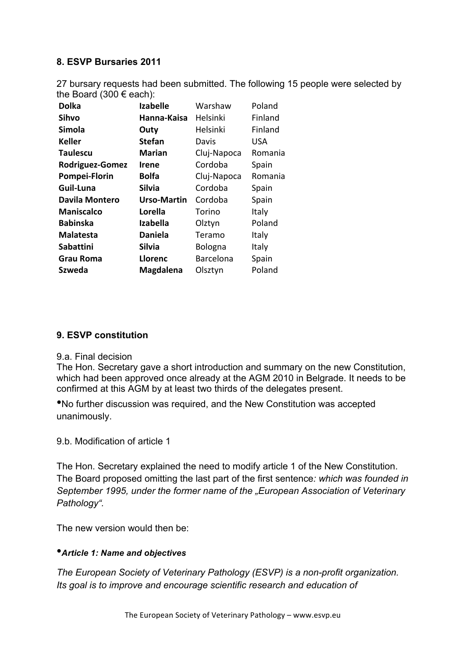## **8. ESVP Bursaries 2011**

27 bursary requests had been submitted. The following 15 people were selected by the Board (300  $\epsilon$  each):

| <b>Dolka</b>      | <b>Izabelle</b> | Warshaw     | Poland  |
|-------------------|-----------------|-------------|---------|
| Sihvo             | Hanna-Kaisa     | Helsinki    | Finland |
| Simola            | Outy            | Helsinki    | Finland |
| <b>Keller</b>     | <b>Stefan</b>   | Davis       | USA     |
| <b>Taulescu</b>   | <b>Marian</b>   | Cluj-Napoca | Romania |
| Rodriguez-Gomez   | Irene           | Cordoba     | Spain   |
| Pompei-Florin     | <b>Bolfa</b>    | Cluj-Napoca | Romania |
| Guil-Luna         | <b>Silvia</b>   | Cordoba     | Spain   |
| Davila Montero    | Urso-Martin     | Cordoba     | Spain   |
| <b>Maniscalco</b> | Lorella         | Torino      | Italy   |
| <b>Babinska</b>   | <b>Izabella</b> | Olztyn      | Poland  |
| <b>Malatesta</b>  | <b>Daniela</b>  | Teramo      | Italy   |
| <b>Sabattini</b>  | Silvia          | Bologna     | Italy   |
| Grau Roma         | Llorenc         | Barcelona   | Spain   |
| Szweda            | Magdalena       | Olsztyn     | Poland  |

#### **9. ESVP constitution**

#### 9.a. Final decision

The Hon. Secretary gave a short introduction and summary on the new Constitution, which had been approved once already at the AGM 2010 in Belgrade. It needs to be confirmed at this AGM by at least two thirds of the delegates present.

•No further discussion was required, and the New Constitution was accepted unanimously.

9.b. Modification of article 1

The Hon. Secretary explained the need to modify article 1 of the New Constitution. The Board proposed omitting the last part of the first sentence*: which was founded in September 1995, under the former name of the "European Association of Veterinary Pathology".*

The new version would then be:

#### •*Article 1: Name and objectives*

*The European Society of Veterinary Pathology (ESVP) is a non-profit organization. Its goal is to improve and encourage scientific research and education of*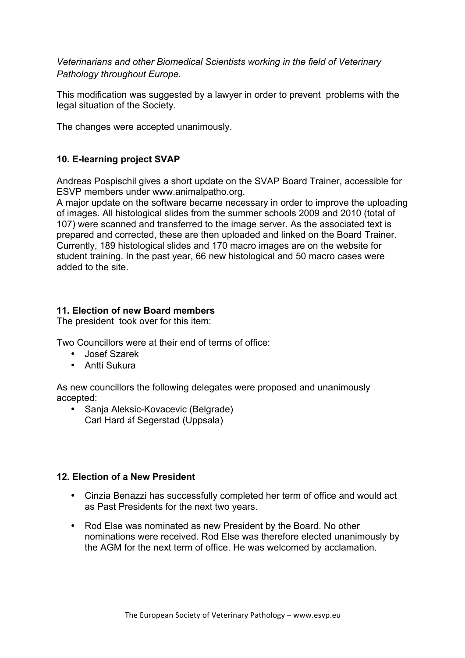*Veterinarians and other Biomedical Scientists working in the field of Veterinary Pathology throughout Europe.*

This modification was suggested by a lawyer in order to prevent problems with the legal situation of the Society.

The changes were accepted unanimously.

## **10. E-learning project SVAP**

Andreas Pospischil gives a short update on the SVAP Board Trainer, accessible for ESVP members under www.animalpatho.org.

A major update on the software became necessary in order to improve the uploading of images. All histological slides from the summer schools 2009 and 2010 (total of 107) were scanned and transferred to the image server. As the associated text is prepared and corrected, these are then uploaded and linked on the Board Trainer. Currently, 189 histological slides and 170 macro images are on the website for student training. In the past year, 66 new histological and 50 macro cases were added to the site.

## **11. Election of new Board members**

The president took over for this item:

Two Councillors were at their end of terms of office:

- Josef Szarek
- Antti Sukura

As new councillors the following delegates were proposed and unanimously accepted:

• Sanja Aleksic-Kovacevic (Belgrade) Carl Hard åf Segerstad (Uppsala)

## **12. Election of a New President**

- Cinzia Benazzi has successfully completed her term of office and would act as Past Presidents for the next two years.
- Rod Else was nominated as new President by the Board. No other nominations were received. Rod Else was therefore elected unanimously by the AGM for the next term of office. He was welcomed by acclamation.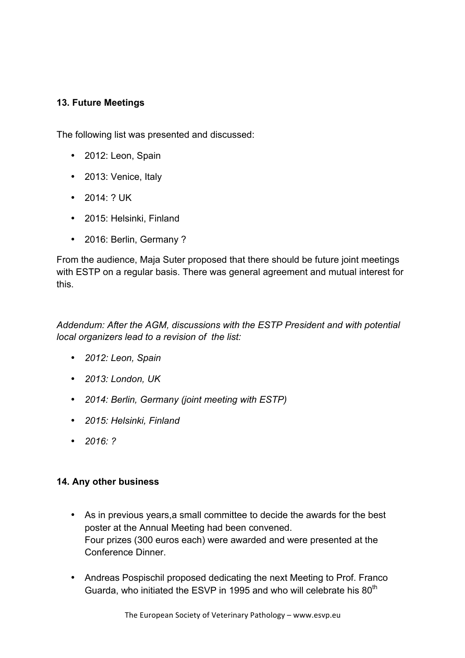## **13. Future Meetings**

The following list was presented and discussed:

- 2012: Leon, Spain
- 2013: Venice, Italy
- 2014: ? UK
- 2015: Helsinki, Finland
- 2016: Berlin, Germany ?

From the audience, Maja Suter proposed that there should be future joint meetings with ESTP on a regular basis. There was general agreement and mutual interest for this.

*Addendum: After the AGM, discussions with the ESTP President and with potential local organizers lead to a revision of the list:* 

- *2012: Leon, Spain*
- *2013: London, UK*
- *2014: Berlin, Germany (joint meeting with ESTP)*
- *2015: Helsinki, Finland*
- *2016: ?*

#### **14. Any other business**

- As in previous years,a small committee to decide the awards for the best poster at the Annual Meeting had been convened. Four prizes (300 euros each) were awarded and were presented at the Conference Dinner.
- Andreas Pospischil proposed dedicating the next Meeting to Prof. Franco Guarda, who initiated the ESVP in 1995 and who will celebrate his 80<sup>th</sup>